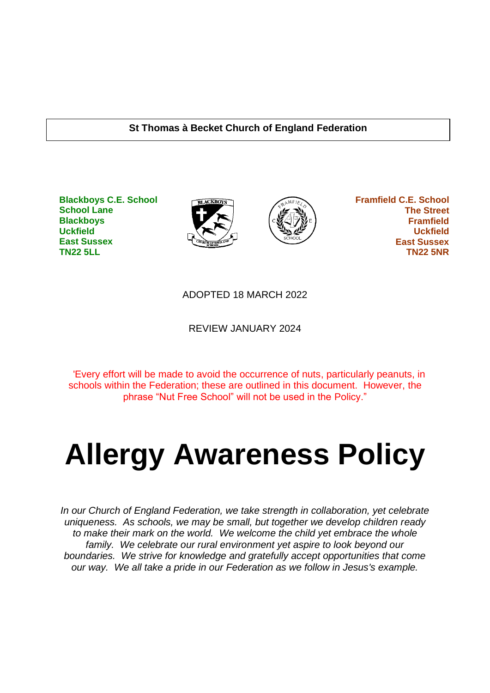#### **St Thomas à Becket Church of England Federation**

**Blackboys C.E. School School Lane Blackboys Uckfield East Sussex TN22 5LL**





 **Framfield C.E. School The Street Framfield Uckfield East Sussex TN22 5NR**

#### ADOPTED 18 MARCH 2022

REVIEW JANUARY 2024

'Every effort will be made to avoid the occurrence of nuts, particularly peanuts, in schools within the Federation; these are outlined in this document. However, the phrase "Nut Free School" will not be used in the Policy."

# **Allergy Awareness Policy**

*In our Church of England Federation, we take strength in collaboration, yet celebrate uniqueness. As schools, we may be small, but together we develop children ready to make their mark on the world. We welcome the child yet embrace the whole family. We celebrate our rural environment yet aspire to look beyond our boundaries. We strive for knowledge and gratefully accept opportunities that come our way. We all take a pride in our Federation as we follow in Jesus's example.*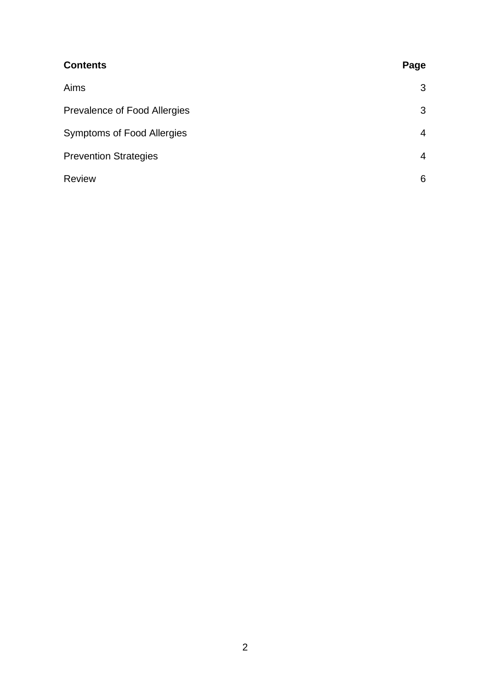| <b>Contents</b>                   | Page           |
|-----------------------------------|----------------|
| Aims                              | 3              |
| Prevalence of Food Allergies      | 3              |
| <b>Symptoms of Food Allergies</b> | $\overline{4}$ |
| <b>Prevention Strategies</b>      | $\overline{4}$ |
| <b>Review</b>                     | 6              |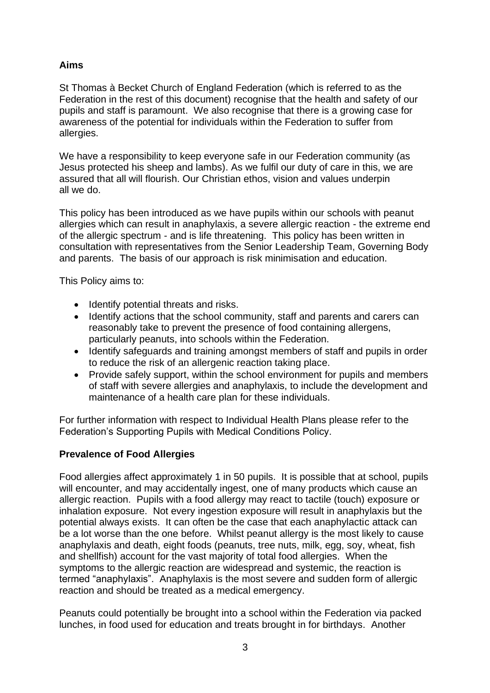# **Aims**

St Thomas à Becket Church of England Federation (which is referred to as the Federation in the rest of this document) recognise that the health and safety of our pupils and staff is paramount. We also recognise that there is a growing case for awareness of the potential for individuals within the Federation to suffer from allergies.

We have a responsibility to keep everyone safe in our Federation community (as Jesus protected his sheep and lambs). As we fulfil our duty of care in this, we are assured that all will flourish. Our Christian ethos, vision and values underpin all we do.

This policy has been introduced as we have pupils within our schools with peanut allergies which can result in anaphylaxis, a severe allergic reaction - the extreme end of the allergic spectrum - and is life threatening. This policy has been written in consultation with representatives from the Senior Leadership Team, Governing Body and parents. The basis of our approach is risk minimisation and education.

This Policy aims to:

- Identify potential threats and risks.
- Identify actions that the school community, staff and parents and carers can reasonably take to prevent the presence of food containing allergens, particularly peanuts, into schools within the Federation.
- Identify safeguards and training amongst members of staff and pupils in order to reduce the risk of an allergenic reaction taking place.
- Provide safely support, within the school environment for pupils and members of staff with severe allergies and anaphylaxis, to include the development and maintenance of a health care plan for these individuals.

For further information with respect to Individual Health Plans please refer to the Federation's Supporting Pupils with Medical Conditions Policy.

## **Prevalence of Food Allergies**

Food allergies affect approximately 1 in 50 pupils. It is possible that at school, pupils will encounter, and may accidentally ingest, one of many products which cause an allergic reaction. Pupils with a food allergy may react to tactile (touch) exposure or inhalation exposure. Not every ingestion exposure will result in anaphylaxis but the potential always exists. It can often be the case that each anaphylactic attack can be a lot worse than the one before. Whilst peanut allergy is the most likely to cause anaphylaxis and death, eight foods (peanuts, tree nuts, milk, egg, soy, wheat, fish and shellfish) account for the vast majority of total food allergies. When the symptoms to the allergic reaction are widespread and systemic, the reaction is termed "anaphylaxis". Anaphylaxis is the most severe and sudden form of allergic reaction and should be treated as a medical emergency.

Peanuts could potentially be brought into a school within the Federation via packed lunches, in food used for education and treats brought in for birthdays. Another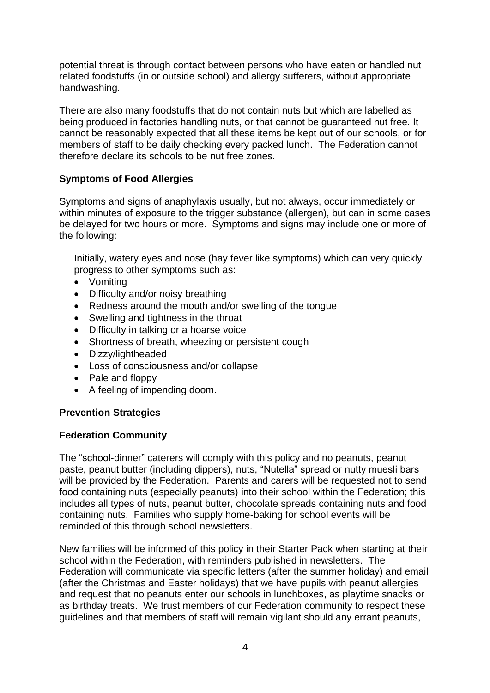potential threat is through contact between persons who have eaten or handled nut related foodstuffs (in or outside school) and allergy sufferers, without appropriate handwashing.

There are also many foodstuffs that do not contain nuts but which are labelled as being produced in factories handling nuts, or that cannot be guaranteed nut free. It cannot be reasonably expected that all these items be kept out of our schools, or for members of staff to be daily checking every packed lunch. The Federation cannot therefore declare its schools to be nut free zones.

# **Symptoms of Food Allergies**

Symptoms and signs of anaphylaxis usually, but not always, occur immediately or within minutes of exposure to the trigger substance (allergen), but can in some cases be delayed for two hours or more. Symptoms and signs may include one or more of the following:

Initially, watery eyes and nose (hay fever like symptoms) which can very quickly progress to other symptoms such as:

- Vomiting
- Difficulty and/or noisy breathing
- Redness around the mouth and/or swelling of the tongue
- Swelling and tightness in the throat
- Difficulty in talking or a hoarse voice
- Shortness of breath, wheezing or persistent cough
- Dizzy/lightheaded
- Loss of consciousness and/or collapse
- Pale and floppy
- A feeling of impending doom.

#### **Prevention Strategies**

#### **Federation Community**

The "school-dinner" caterers will comply with this policy and no peanuts, peanut paste, peanut butter (including dippers), nuts, "Nutella" spread or nutty muesli bars will be provided by the Federation. Parents and carers will be requested not to send food containing nuts (especially peanuts) into their school within the Federation; this includes all types of nuts, peanut butter, chocolate spreads containing nuts and food containing nuts. Families who supply home-baking for school events will be reminded of this through school newsletters.

New families will be informed of this policy in their Starter Pack when starting at their school within the Federation, with reminders published in newsletters. The Federation will communicate via specific letters (after the summer holiday) and email (after the Christmas and Easter holidays) that we have pupils with peanut allergies and request that no peanuts enter our schools in lunchboxes, as playtime snacks or as birthday treats. We trust members of our Federation community to respect these guidelines and that members of staff will remain vigilant should any errant peanuts,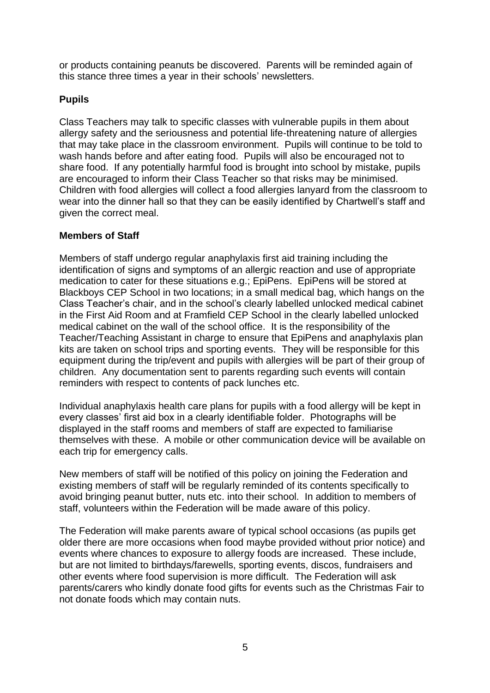or products containing peanuts be discovered. Parents will be reminded again of this stance three times a year in their schools' newsletters.

## **Pupils**

Class Teachers may talk to specific classes with vulnerable pupils in them about allergy safety and the seriousness and potential life-threatening nature of allergies that may take place in the classroom environment. Pupils will continue to be told to wash hands before and after eating food. Pupils will also be encouraged not to share food. If any potentially harmful food is brought into school by mistake, pupils are encouraged to inform their Class Teacher so that risks may be minimised. Children with food allergies will collect a food allergies lanyard from the classroom to wear into the dinner hall so that they can be easily identified by Chartwell's staff and given the correct meal.

## **Members of Staff**

Members of staff undergo regular anaphylaxis first aid training including the identification of signs and symptoms of an allergic reaction and use of appropriate medication to cater for these situations e.g.; EpiPens. EpiPens will be stored at Blackboys CEP School in two locations; in a small medical bag, which hangs on the Class Teacher's chair, and in the school's clearly labelled unlocked medical cabinet in the First Aid Room and at Framfield CEP School in the clearly labelled unlocked medical cabinet on the wall of the school office. It is the responsibility of the Teacher/Teaching Assistant in charge to ensure that EpiPens and anaphylaxis plan kits are taken on school trips and sporting events. They will be responsible for this equipment during the trip/event and pupils with allergies will be part of their group of children. Any documentation sent to parents regarding such events will contain reminders with respect to contents of pack lunches etc.

Individual anaphylaxis health care plans for pupils with a food allergy will be kept in every classes' first aid box in a clearly identifiable folder. Photographs will be displayed in the staff rooms and members of staff are expected to familiarise themselves with these. A mobile or other communication device will be available on each trip for emergency calls.

New members of staff will be notified of this policy on joining the Federation and existing members of staff will be regularly reminded of its contents specifically to avoid bringing peanut butter, nuts etc. into their school. In addition to members of staff, volunteers within the Federation will be made aware of this policy.

The Federation will make parents aware of typical school occasions (as pupils get older there are more occasions when food maybe provided without prior notice) and events where chances to exposure to allergy foods are increased. These include, but are not limited to birthdays/farewells, sporting events, discos, fundraisers and other events where food supervision is more difficult. The Federation will ask parents/carers who kindly donate food gifts for events such as the Christmas Fair to not donate foods which may contain nuts.